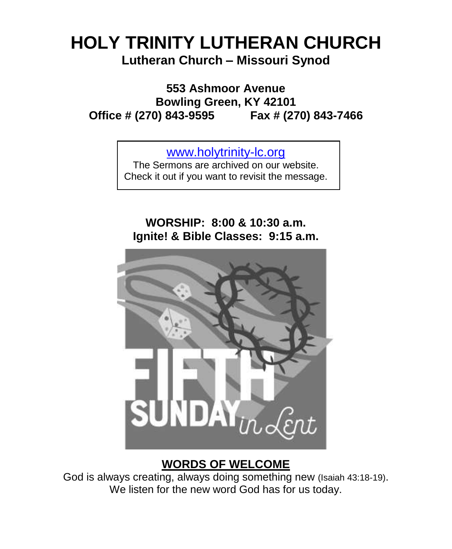# **HOLY TRINITY LUTHERAN CHURCH Lutheran Church – Missouri Synod**

**553 Ashmoor Avenue Bowling Green, KY 42101 Office # (270) 843-9595 Fax # (270) 843-7466**

[www.holytrinity-lc.org](http://www.holytrinity-lc.org/)

The Sermons are archived on our website. Check it out if you want to revisit the message.

# **WORSHIP: 8:00 & 10:30 a.m. Ignite! & Bible Classes: 9:15 a.m.**



# **WORDS OF WELCOME**

God is always creating, always doing something new (Isaiah 43:18-19). We listen for the new word God has for us today.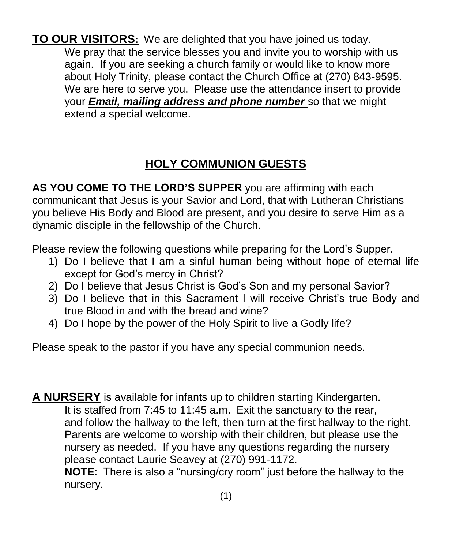**TO OUR VISITORS:** We are delighted that you have joined us today. We pray that the service blesses you and invite you to worship with us again. If you are seeking a church family or would like to know more about Holy Trinity, please contact the Church Office at (270) 843-9595. We are here to serve you. Please use the attendance insert to provide your *Email, mailing address and phone number* so that we might extend a special welcome.

# **HOLY COMMUNION GUESTS**

**AS YOU COME TO THE LORD'S SUPPER** you are affirming with each communicant that Jesus is your Savior and Lord, that with Lutheran Christians you believe His Body and Blood are present, and you desire to serve Him as a dynamic disciple in the fellowship of the Church.

Please review the following questions while preparing for the Lord's Supper.

- 1) Do I believe that I am a sinful human being without hope of eternal life except for God's mercy in Christ?
- 2) Do I believe that Jesus Christ is God's Son and my personal Savior?
- 3) Do I believe that in this Sacrament I will receive Christ's true Body and true Blood in and with the bread and wine?
- 4) Do I hope by the power of the Holy Spirit to live a Godly life?

Please speak to the pastor if you have any special communion needs.

**A NURSERY** is available for infants up to children starting Kindergarten. It is staffed from 7:45 to 11:45 a.m. Exit the sanctuary to the rear, and follow the hallway to the left, then turn at the first hallway to the right. Parents are welcome to worship with their children, but please use the nursery as needed. If you have any questions regarding the nursery please contact Laurie Seavey at (270) 991-1172. **NOTE**: There is also a "nursing/cry room" just before the hallway to the

nursery.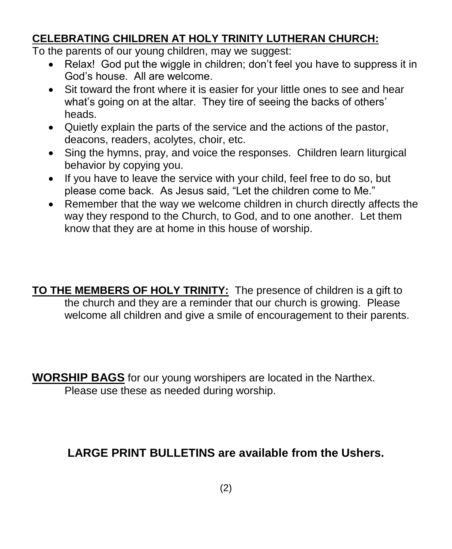# **CELEBRATING CHILDREN AT HOLY TRINITY LUTHERAN CHURCH:**

To the parents of our young children, may we suggest:

- Relax! God put the wiggle in children; don't feel you have to suppress it in God's house. All are welcome.
- Sit toward the front where it is easier for your little ones to see and hear what's going on at the altar. They tire of seeing the backs of others' heads.
- Quietly explain the parts of the service and the actions of the pastor, deacons, readers, acolytes, choir, etc.
- Sing the hymns, pray, and voice the responses. Children learn liturgical behavior by copying you.
- If you have to leave the service with your child, feel free to do so, but please come back. As Jesus said, "Let the children come to Me."
- Remember that the way we welcome children in church directly affects the way they respond to the Church, to God, and to one another. Let them know that they are at home in this house of worship.
- **TO THE MEMBERS OF HOLY TRINITY:** The presence of children is a gift to the church and they are a reminder that our church is growing. Please welcome all children and give a smile of encouragement to their parents.

**WORSHIP BAGS** for our young worshipers are located in the Narthex. Please use these as needed during worship.

# **LARGE PRINT BULLETINS are available from the Ushers.**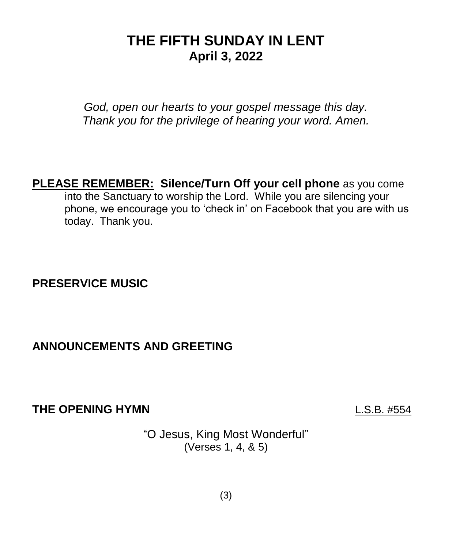# **THE FIFTH SUNDAY IN LENT April 3, 2022**

*God, open our hearts to your gospel message this day. Thank you for the privilege of hearing your word. Amen.*

**PLEASE REMEMBER: Silence/Turn Off your cell phone** as you come into the Sanctuary to worship the Lord. While you are silencing your phone, we encourage you to 'check in' on Facebook that you are with us today. Thank you.

# **PRESERVICE MUSIC**

# **ANNOUNCEMENTS AND GREETING**

**THE OPENING HYMN** L.S.B. #554

"O Jesus, King Most Wonderful" (Verses 1, 4, & 5)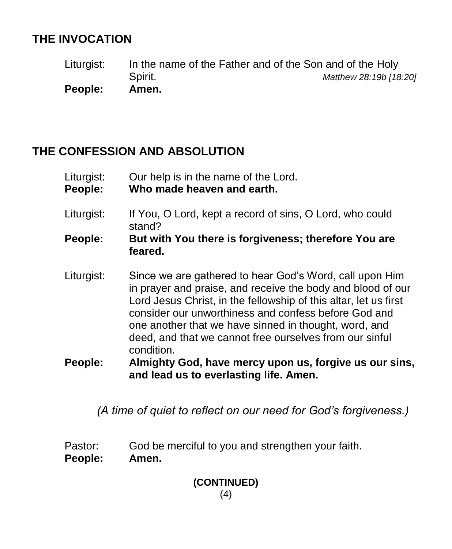# **THE INVOCATION**

Liturgist: In the name of the Father and of the Son and of the Holy Spirit. *Matthew 28:19b [18:20]* **People: Amen.**

# **THE CONFESSION AND ABSOLUTION**

| Liturgist: | Our help is in the name of the Lord. |
|------------|--------------------------------------|
| People:    | Who made heaven and earth.           |

- Liturgist: If You, O Lord, kept a record of sins, O Lord, who could stand?
- **People: But with You there is forgiveness; therefore You are feared.**
- Liturgist: Since we are gathered to hear God's Word, call upon Him in prayer and praise, and receive the body and blood of our Lord Jesus Christ, in the fellowship of this altar, let us first consider our unworthiness and confess before God and one another that we have sinned in thought, word, and deed, and that we cannot free ourselves from our sinful condition.
- **People: Almighty God, have mercy upon us, forgive us our sins, and lead us to everlasting life. Amen.**

*(A time of quiet to reflect on our need for God's forgiveness.)*

- Pastor: God be merciful to you and strengthen your faith.
- **People: Amen.**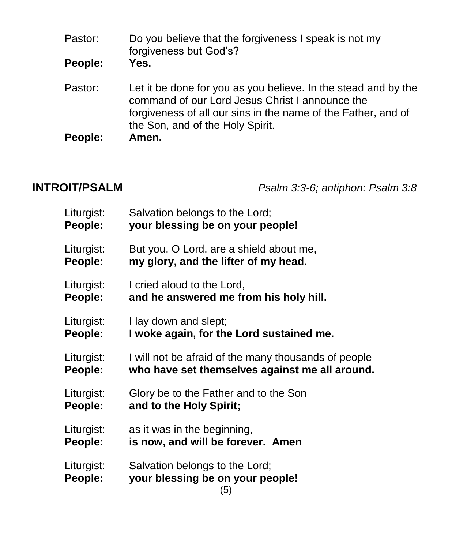| Pastor: | Do you believe that the forgiveness I speak is not my<br>forgiveness but God's?                                                                                                                                        |
|---------|------------------------------------------------------------------------------------------------------------------------------------------------------------------------------------------------------------------------|
| People: | Yes.                                                                                                                                                                                                                   |
| Pastor: | Let it be done for you as you believe. In the stead and by the<br>command of our Lord Jesus Christ I announce the<br>forgiveness of all our sins in the name of the Father, and of<br>the Son, and of the Holy Spirit. |
| People: | Amen.                                                                                                                                                                                                                  |

**INTROIT/PSALM** *Psalm 3:3-6; antiphon: Psalm 3:8*

| Liturgist:            | Salvation belongs to the Lord;                                            |  |
|-----------------------|---------------------------------------------------------------------------|--|
| People:               | your blessing be on your people!                                          |  |
| Liturgist:            | But you, O Lord, are a shield about me,                                   |  |
| People:               | my glory, and the lifter of my head.                                      |  |
| Liturgist:            | I cried aloud to the Lord,                                                |  |
| People:               | and he answered me from his holy hill.                                    |  |
| Liturgist:            | I lay down and slept;                                                     |  |
| People:               | I woke again, for the Lord sustained me.                                  |  |
| Liturgist:            | I will not be afraid of the many thousands of people                      |  |
| People:               | who have set themselves against me all around.                            |  |
| Liturgist:            | Glory be to the Father and to the Son                                     |  |
| People:               | and to the Holy Spirit;                                                   |  |
| Liturgist:            | as it was in the beginning,                                               |  |
| People:               | is now, and will be forever. Amen                                         |  |
| Liturgist:<br>People: | Salvation belongs to the Lord;<br>your blessing be on your people!<br>(5) |  |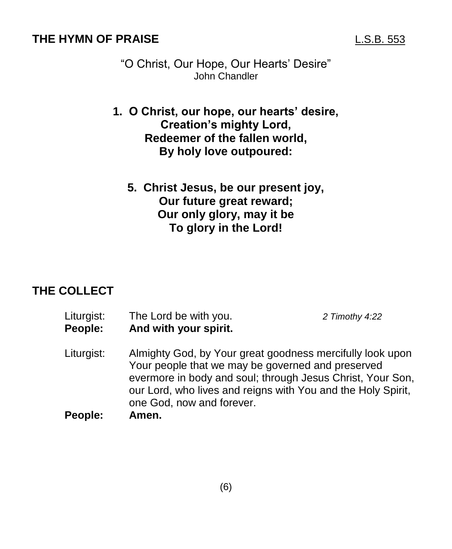### **THE HYMN OF PRAISE** L.S.B. 553

- "O Christ, Our Hope, Our Hearts' Desire" John Chandler
- **1. O Christ, our hope, our hearts' desire, Creation's mighty Lord, Redeemer of the fallen world, By holy love outpoured:**
	- **5. Christ Jesus, be our present joy, Our future great reward; Our only glory, may it be To glory in the Lord!**

### **THE COLLECT**

- Liturgist: The Lord be with you. *2 Timothy 4:22* **People: And with your spirit.**
- Liturgist: Almighty God, by Your great goodness mercifully look upon Your people that we may be governed and preserved evermore in body and soul; through Jesus Christ, Your Son, our Lord, who lives and reigns with You and the Holy Spirit, one God, now and forever.
- **People: Amen.**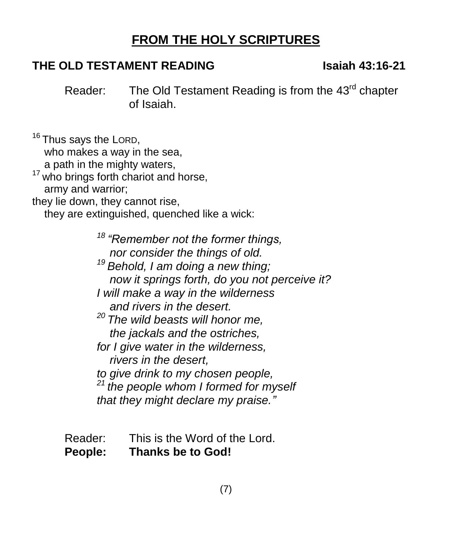# **FROM THE HOLY SCRIPTURES**

# **THE OLD TESTAMENT READING Isaiah 43:16-21**

Reader: The Old Testament Reading is from the 43<sup>rd</sup> chapter of Isaiah.

<sup>16</sup> Thus says the LORD, who makes a way in the sea. a path in the mighty waters, <sup>17</sup> who brings forth chariot and horse, army and warrior; they lie down, they cannot rise,

they are extinguished, quenched like a wick:

*<sup>18</sup> "Remember not the former things, nor consider the things of old. <sup>19</sup> Behold, I am doing a new thing; now it springs forth, do you not perceive it? I will make a way in the wilderness and rivers in the desert. <sup>20</sup> The wild beasts will honor me, the jackals and the ostriches, for I give water in the wilderness, rivers in the desert, to give drink to my chosen people, <sup>21</sup> the people whom I formed for myself that they might declare my praise."*

- Reader: This is the Word of the Lord.
- **People: Thanks be to God!**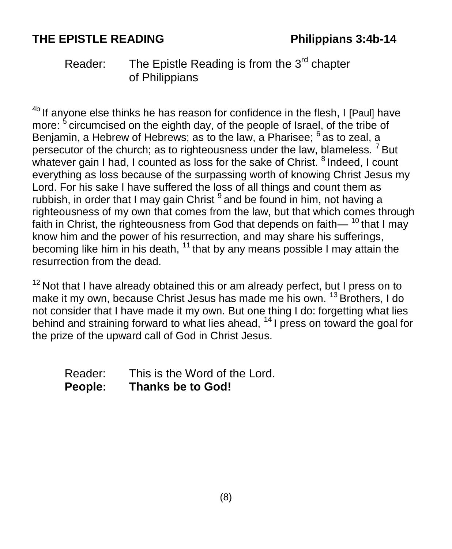# **THE EPISTLE READING Philippians 3:4b-14**

# Reader: The Epistle Reading is from the 3<sup>rd</sup> chapter of Philippians

<sup>4b</sup> If anyone else thinks he has reason for confidence in the flesh, I [Paul] have more: <sup>5</sup> circumcised on the eighth day, of the people of Israel, of the tribe of Benjamin, a Hebrew of Hebrews; as to the law, a Pharisee; <sup>6</sup> as to zeal, a persecutor of the church; as to righteousness under the law, blameless.  $^7$  But whatever gain I had, I counted as loss for the sake of Christ. <sup>8</sup> Indeed, I count everything as loss because of the surpassing worth of knowing Christ Jesus my Lord. For his sake I have suffered the loss of all things and count them as rubbish, in order that I may gain Christ <sup>9</sup> and be found in him, not having a righteousness of my own that comes from the law, but that which comes through faith in Christ, the righteousness from God that depends on faith— $^{10}$  that I may know him and the power of his resurrection, and may share his sufferings, becoming like him in his death,  $11$  that by any means possible I may attain the resurrection from the dead.

 $12$  Not that I have already obtained this or am already perfect, but I press on to make it my own, because Christ Jesus has made me his own. <sup>13</sup> Brothers, I do not consider that I have made it my own. But one thing I do: forgetting what lies behind and straining forward to what lies ahead, <sup>14</sup> I press on toward the goal for the prize of the upward call of God in Christ Jesus.

Reader: This is the Word of the Lord. **People: Thanks be to God!**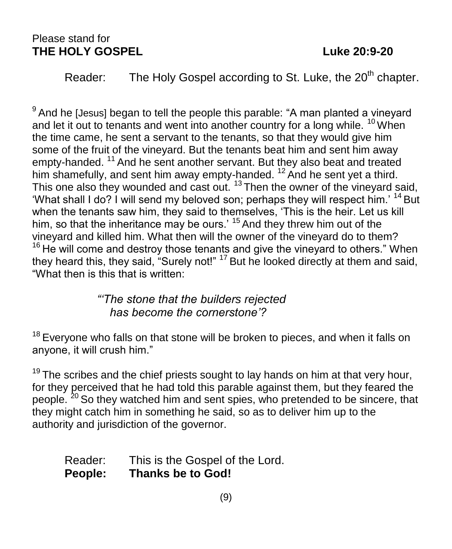### Please stand for **THE HOLY GOSPEL Luke 20:9-20**

Reader: The Holy Gospel according to St. Luke, the  $20<sup>th</sup>$  chapter.

 $9$  And he [Jesus] began to tell the people this parable: "A man planted a vineyard and let it out to tenants and went into another country for a long while.  $10$  When the time came, he sent a servant to the tenants, so that they would give him some of the fruit of the vineyard. But the tenants beat him and sent him away empty-handed. <sup>11</sup> And he sent another servant. But they also beat and treated him shamefully, and sent him away empty-handed.  $12$  And he sent yet a third. This one also they wounded and cast out.  $13$  Then the owner of the vineyard said, 'What shall I do? I will send my beloved son; perhaps they will respect him.' <sup>14</sup> But when the tenants saw him, they said to themselves, 'This is the heir. Let us kill him, so that the inheritance may be ours.<sup>' 15</sup> And they threw him out of the vineyard and killed him. What then will the owner of the vineyard do to them?  $16$  He will come and destroy those tenants and give the vineyard to others." When they heard this, they said, "Surely not!" <sup>17</sup> But he looked directly at them and said, "What then is this that is written:

## *"'The stone that the builders rejected has become the cornerstone'?*

 $18$  Everyone who falls on that stone will be broken to pieces, and when it falls on anyone, it will crush him."

 $19$  The scribes and the chief priests sought to lay hands on him at that very hour, for they perceived that he had told this parable against them, but they feared the people. <sup>20</sup> So they watched him and sent spies, who pretended to be sincere, that they might catch him in something he said, so as to deliver him up to the authority and jurisdiction of the governor.

## Reader: This is the Gospel of the Lord. **People: Thanks be to God!**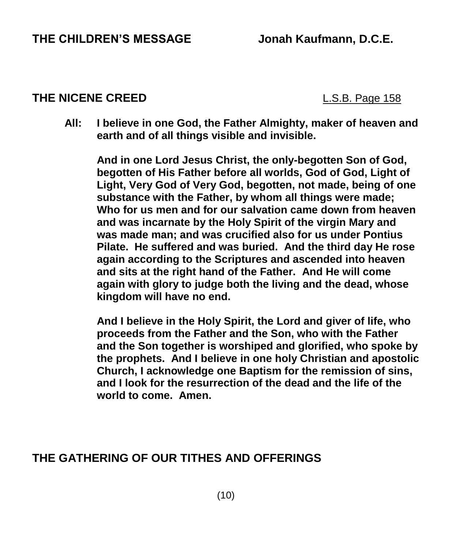### **THE NICENE CREED** L.S.B. Page 158

**All: I believe in one God, the Father Almighty, maker of heaven and earth and of all things visible and invisible.**

**And in one Lord Jesus Christ, the only-begotten Son of God, begotten of His Father before all worlds, God of God, Light of Light, Very God of Very God, begotten, not made, being of one substance with the Father, by whom all things were made; Who for us men and for our salvation came down from heaven and was incarnate by the Holy Spirit of the virgin Mary and was made man; and was crucified also for us under Pontius Pilate. He suffered and was buried. And the third day He rose again according to the Scriptures and ascended into heaven and sits at the right hand of the Father. And He will come again with glory to judge both the living and the dead, whose kingdom will have no end.**

**And I believe in the Holy Spirit, the Lord and giver of life, who proceeds from the Father and the Son, who with the Father and the Son together is worshiped and glorified, who spoke by the prophets. And I believe in one holy Christian and apostolic Church, I acknowledge one Baptism for the remission of sins, and I look for the resurrection of the dead and the life of the world to come. Amen.**

# **THE GATHERING OF OUR TITHES AND OFFERINGS**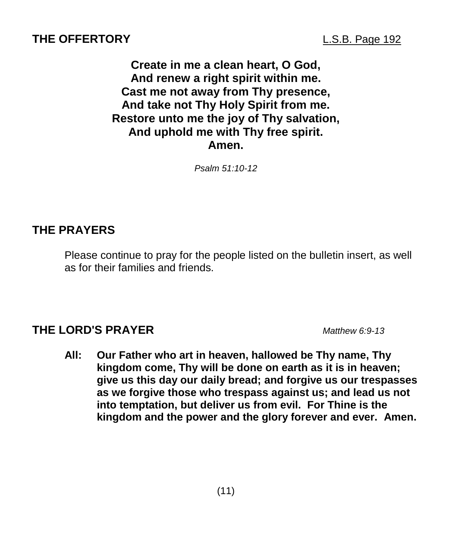### **THE OFFERTORY** L.S.B. Page 192

**Create in me a clean heart, O God, And renew a right spirit within me. Cast me not away from Thy presence, And take not Thy Holy Spirit from me. Restore unto me the joy of Thy salvation, And uphold me with Thy free spirit. Amen.**

*Psalm 51:10-12*

### **THE PRAYERS**

Please continue to pray for the people listed on the bulletin insert, as well as for their families and friends.

### **THE LORD'S PRAYER** *Matthew 6:9-13*

**All: Our Father who art in heaven, hallowed be Thy name, Thy kingdom come, Thy will be done on earth as it is in heaven; give us this day our daily bread; and forgive us our trespasses as we forgive those who trespass against us; and lead us not into temptation, but deliver us from evil. For Thine is the kingdom and the power and the glory forever and ever. Amen.**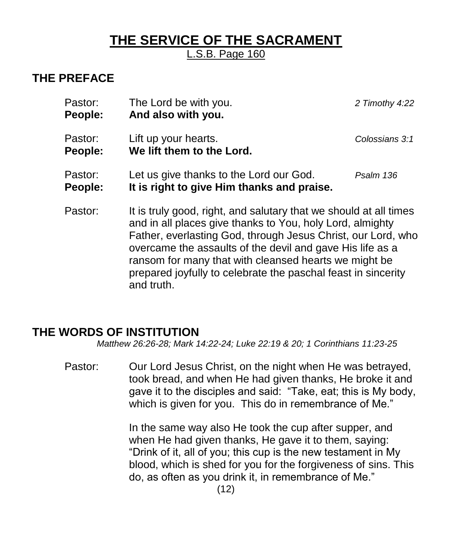# **THE SERVICE OF THE SACRAMENT**

L.S.B. Page 160

# **THE PREFACE**

| Pastor:<br>People: | The Lord be with you.<br>And also with you.                                                                                                                                                                                                                                                                                                                                                         | 2 Timothy 4:22 |
|--------------------|-----------------------------------------------------------------------------------------------------------------------------------------------------------------------------------------------------------------------------------------------------------------------------------------------------------------------------------------------------------------------------------------------------|----------------|
| Pastor:<br>People: | Lift up your hearts.<br>We lift them to the Lord.                                                                                                                                                                                                                                                                                                                                                   | Colossians 3:1 |
| Pastor:<br>People: | Let us give thanks to the Lord our God.<br>It is right to give Him thanks and praise.                                                                                                                                                                                                                                                                                                               | Psalm 136      |
| Pastor:            | It is truly good, right, and salutary that we should at all times<br>and in all places give thanks to You, holy Lord, almighty<br>Father, everlasting God, through Jesus Christ, our Lord, who<br>overcame the assaults of the devil and gave His life as a<br>ransom for many that with cleansed hearts we might be<br>prepared joyfully to celebrate the paschal feast in sincerity<br>and truth. |                |

### **THE WORDS OF INSTITUTION**

*Matthew 26:26-28; Mark 14:22-24; Luke 22:19 & 20; 1 Corinthians 11:23-25*

Pastor: Our Lord Jesus Christ, on the night when He was betrayed, took bread, and when He had given thanks, He broke it and gave it to the disciples and said: "Take, eat; this is My body, which is given for you. This do in remembrance of Me."

> In the same way also He took the cup after supper, and when He had given thanks, He gave it to them, saying: "Drink of it, all of you; this cup is the new testament in My blood, which is shed for you for the forgiveness of sins. This do, as often as you drink it, in remembrance of Me."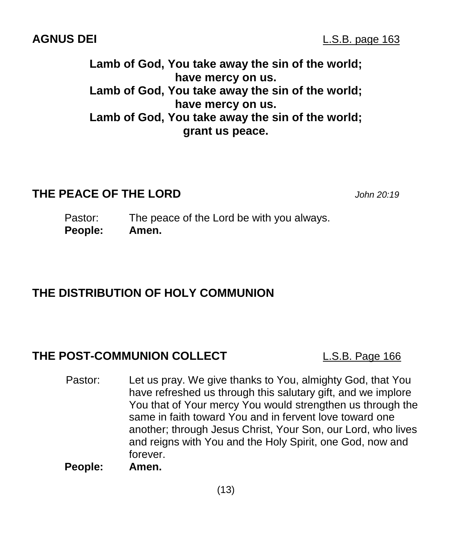**Lamb of God, You take away the sin of the world; have mercy on us. Lamb of God, You take away the sin of the world; have mercy on us. Lamb of God, You take away the sin of the world;**

**grant us peace.**

### **THE PEACE OF THE LORD** *John 20:19*

Pastor: The peace of the Lord be with you always. **People: Amen.** 

### **THE DISTRIBUTION OF HOLY COMMUNION**

### **THE POST-COMMUNION COLLECT** L.S.B. Page 166

Pastor: Let us pray. We give thanks to You, almighty God, that You have refreshed us through this salutary gift, and we implore You that of Your mercy You would strengthen us through the same in faith toward You and in fervent love toward one another; through Jesus Christ, Your Son, our Lord, who lives and reigns with You and the Holy Spirit, one God, now and forever.

**People: Amen.**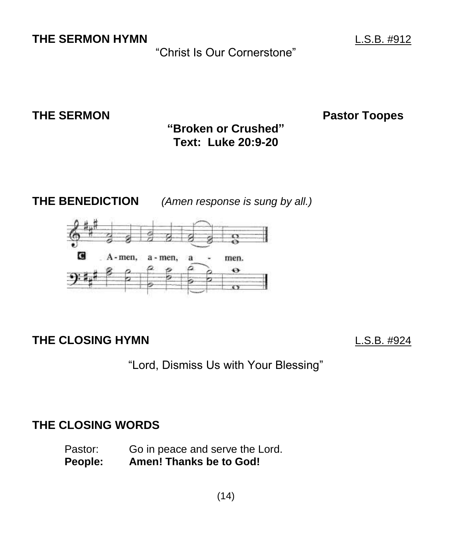**THE SERMON HYMN** L.S.B. #912

"Christ Is Our Cornerstone"

**THE SERMON Pastor Toopes** 

**"Broken or Crushed" Text: Luke 20:9-20**

**THE BENEDICTION** *(Amen response is sung by all.)*



**THE CLOSING HYMN** L.S.B. #924

"Lord, Dismiss Us with Your Blessing"

# **THE CLOSING WORDS**

Pastor: Go in peace and serve the Lord. **People: Amen! Thanks be to God!**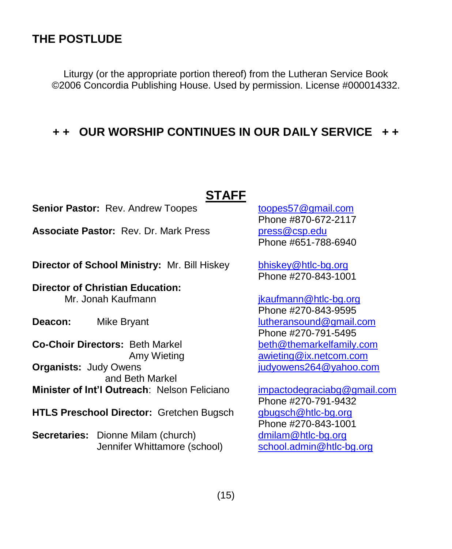### **THE POSTLUDE**

Liturgy (or the appropriate portion thereof) from the Lutheran Service Book ©2006 Concordia Publishing House. Used by permission. License #000014332.

### **+ + OUR WORSHIP CONTINUES IN OUR DAILY SERVICE + +**

# **STAFF**

**Senior Pastor:** Rev. Andrew Toopes **[toopes57@gmail.com](mailto:toopes57@gmail.com)** 

Associate Pastor: Rev. Dr. Mark Press.

**Director of School Ministry:** Mr. Bill Hiskey [bhiskey@htlc-bg.org](mailto:bhiskey@htlc-bg.org)

**Director of Christian Education:**  Mr. Jonah Kaufmann is a state of the state is a state of the state of the state of the state of the state of the state of the state of the state of the state of the state of the state of the state of the state of the state

**Co-Choir Directors:** Beth Markel [beth@themarkelfamily.com](mailto:beth@themarkelfamily.com) **Organists:** Judy Owens *Companists: Judy Owens* **Companists: Judy Owens Companists: Judy Owens Companists: Judy Owens**  and Beth Markel **Minister of Int'l Outreach: Nelson Feliciano [impactodegraciabg@gmail.com](mailto:impactodegraciabg@gmail.com)** 

**HTLS Preschool Director:** Gretchen Bugsch [gbugsch@htlc-bg.org](mailto:gbugsch@htlc-bg.org)

**Secretaries:** Dionne Milam (church) [dmilam@htlc-bg.org](mailto:dmilam@htlc-bg.org) Jennifer Whittamore (school) [school.admin@htlc-bg.org](mailto:school.admin@htlc-bg.org)

Phone #870-672-2117<br>press@csp.edu Phone #651-788-6940

Phone #270-843-1001

Phone #270-843-9595 **Deacon:** Mike Bryant Mike Bryant Muslam Research Muslam Research Muslam Research Muslam Muslam Research Muslam R Phone #270-791-5495 Amy Wieting **[awieting@ix.netcom.com](mailto:awieting@ix.netcom.com)** 

> Phone #270-791-9432 Phone #270-843-1001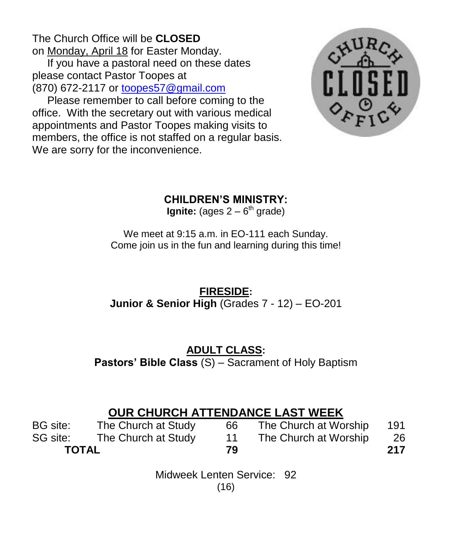The Church Office will be **CLOSED** on Monday, April 18 for Easter Monday.

 If you have a pastoral need on these dates please contact Pastor Toopes at (870) 672-2117 or [toopes57@gmail.com](mailto:toopes57@gmail.com)

 Please remember to call before coming to the office. With the secretary out with various medical appointments and Pastor Toopes making visits to members, the office is not staffed on a regular basis. We are sorry for the inconvenience.



### **CHILDREN'S MINISTRY:**

**Ignite:** (ages 2 – 6<sup>th</sup> grade)

We meet at 9:15 a.m. in EO-111 each Sunday. Come join us in the fun and learning during this time!

## **FIRESIDE: Junior & Senior High** (Grades 7 - 12) – EO-201

## **ADULT CLASS:**

**Pastors' Bible Class** (S) – Sacrament of Holy Baptism

# **OUR CHURCH ATTENDANCE LAST WEEK**

| BG site:     | The Church at Study | 66 | The Church at Worship | 191 |
|--------------|---------------------|----|-----------------------|-----|
| SG site:     | The Church at Study |    | The Church at Worship | -26 |
| <b>TOTAL</b> |                     | 79 |                       | 217 |

Midweek Lenten Service: 92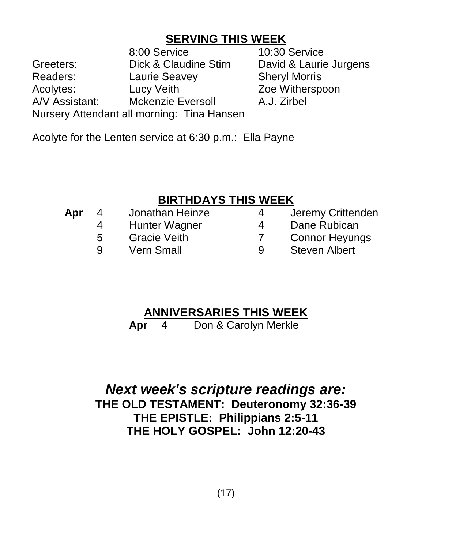# **SERVING THIS WEEK**

8:00 Service 10:30 Service Greeters: Dick & Claudine Stirn David & Laurie Jurgens Readers: Laurie Seavey Sheryl Morris Acolytes: Lucy Veith Zoe Witherspoon A/V Assistant: Mckenzie Eversoll A.J. Zirbel Nursery Attendant all morning: Tina Hansen

Acolyte for the Lenten service at 6:30 p.m.: Ella Payne

# **BIRTHDAYS THIS WEEK**

| Apr | 4 | Jonathan Heinze     | 4 | Jeremy Crittenden     |
|-----|---|---------------------|---|-----------------------|
|     | 4 | Hunter Wagner       | 4 | Dane Rubican          |
|     | 5 | <b>Gracie Veith</b> |   | <b>Connor Heyungs</b> |
|     | Q | <b>Vern Small</b>   | Q | <b>Steven Albert</b>  |
|     |   |                     |   |                       |

# **ANNIVERSARIES THIS WEEK**

**Apr** 4 Don & Carolyn Merkle

*Next week's scripture readings are:* **THE OLD TESTAMENT: Deuteronomy 32:36-39 THE EPISTLE: Philippians 2:5-11 THE HOLY GOSPEL: John 12:20-43**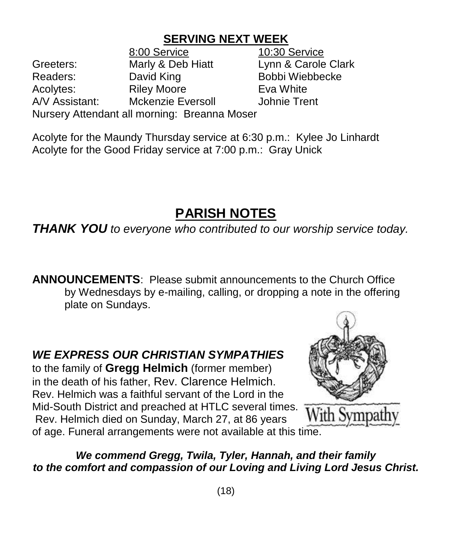# **SERVING NEXT WEEK**

8:00 Service 10:30 Service Greeters: Marly & Deb Hiatt Lynn & Carole Clark Readers: David King Bobbi Wiebbecke Acolytes: Riley Moore Eva White A/V Assistant: Mckenzie Eversoll Johnie Trent Nursery Attendant all morning: Breanna Moser

Acolyte for the Maundy Thursday service at 6:30 p.m.: Kylee Jo Linhardt Acolyte for the Good Friday service at 7:00 p.m.: Gray Unick

# **PARISH NOTES**

*THANK YOU to everyone who contributed to our worship service today.* 

**ANNOUNCEMENTS**: Please submit announcements to the Church Office by Wednesdays by e-mailing, calling, or dropping a note in the offering plate on Sundays.

*WE EXPRESS OUR CHRISTIAN SYMPATHIES* to the family of **Gregg Helmich** (former member) in the death of his father, Rev. Clarence Helmich. Rev. Helmich was a faithful servant of the Lord in the Mid-South District and preached at HTLC several times. Rev. Helmich died on Sunday, March 27, at 86 years of age. Funeral arrangements were not available at this time.



# *We commend Gregg, Twila, Tyler, Hannah, and their family to the comfort and compassion of our Loving and Living Lord Jesus Christ.*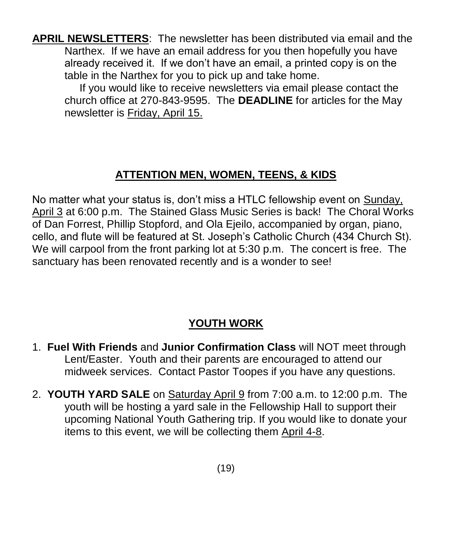**APRIL NEWSLETTERS**: The newsletter has been distributed via email and the Narthex. If we have an email address for you then hopefully you have already received it. If we don't have an email, a printed copy is on the table in the Narthex for you to pick up and take home.

 If you would like to receive newsletters via email please contact the church office at 270-843-9595. The **DEADLINE** for articles for the May newsletter is Friday, April 15.

# **ATTENTION MEN, WOMEN, TEENS, & KIDS**

No matter what your status is, don't miss a HTLC fellowship event on Sunday, April 3 at 6:00 p.m. The Stained Glass Music Series is back! The Choral Works of Dan Forrest, Phillip Stopford, and Ola Ejeilo, accompanied by organ, piano, cello, and flute will be featured at St. Joseph's Catholic Church (434 Church St). We will carpool from the front parking lot at 5:30 p.m. The concert is free. The sanctuary has been renovated recently and is a wonder to see!

# **YOUTH WORK**

- 1. **Fuel With Friends** and **Junior Confirmation Class** will NOT meet through Lent/Easter. Youth and their parents are encouraged to attend our midweek services. Contact Pastor Toopes if you have any questions.
- 2. **YOUTH YARD SALE** on Saturday April 9 from 7:00 a.m. to 12:00 p.m. The youth will be hosting a yard sale in the Fellowship Hall to support their upcoming National Youth Gathering trip. If you would like to donate your items to this event, we will be collecting them April 4-8.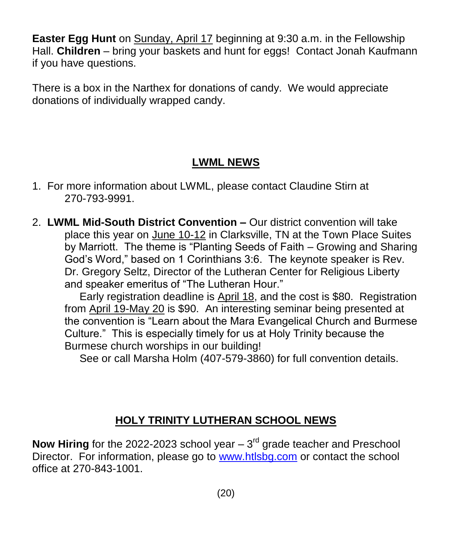**Easter Egg Hunt** on Sunday, April 17 beginning at 9:30 a.m. in the Fellowship Hall. **Children** – bring your baskets and hunt for eggs! Contact Jonah Kaufmann if you have questions.

There is a box in the Narthex for donations of candy. We would appreciate donations of individually wrapped candy.

# **LWML NEWS**

- 1. For more information about LWML, please contact Claudine Stirn at 270-793-9991.
- 2. **LWML Mid-South District Convention –** Our district convention will take place this year on June 10-12 in Clarksville, TN at the Town Place Suites by Marriott. The theme is "Planting Seeds of Faith – Growing and Sharing God's Word," based on 1 Corinthians 3:6. The keynote speaker is Rev. Dr. Gregory Seltz, Director of the Lutheran Center for Religious Liberty and speaker emeritus of "The Lutheran Hour."

 Early registration deadline is April 18, and the cost is \$80. Registration from April 19-May 20 is \$90. An interesting seminar being presented at the convention is "Learn about the Mara Evangelical Church and Burmese Culture." This is especially timely for us at Holy Trinity because the Burmese church worships in our building!

See or call Marsha Holm (407-579-3860) for full convention details.

# **HOLY TRINITY LUTHERAN SCHOOL NEWS**

**Now Hiring** for the 2022-2023 school year  $-3<sup>rd</sup>$  grade teacher and Preschool Director. For information, please go to [www.htlsbg.com](http://www.htlsbg.com/) or contact the school office at 270-843-1001.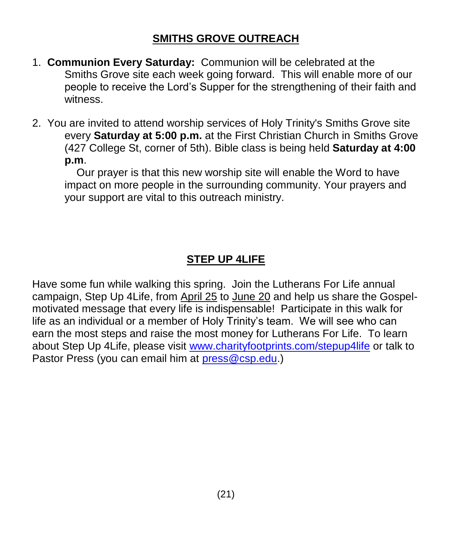### **SMITHS GROVE OUTREACH**

- 1. **Communion Every Saturday:** Communion will be celebrated at the Smiths Grove site each week going forward. This will enable more of our people to receive the Lord's Supper for the strengthening of their faith and witness.
- 2. You are invited to attend worship services of Holy Trinity's Smiths Grove site every **Saturday at 5:00 p.m.** at the First Christian Church in Smiths Grove (427 College St, corner of 5th). Bible class is being held **Saturday at 4:00 p.m**.

 Our prayer is that this new worship site will enable the Word to have impact on more people in the surrounding community. Your prayers and your support are vital to this outreach ministry.

# **STEP UP 4LIFE**

Have some fun while walking this spring. Join the Lutherans For Life annual campaign, Step Up 4Life, from April 25 to June 20 and help us share the Gospelmotivated message that every life is indispensable! Participate in this walk for life as an individual or a member of Holy Trinity's team. We will see who can earn the most steps and raise the most money for Lutherans For Life. To learn about Step Up 4Life, please visit [www.charityfootprints.com/stepup4life](http://www.charityfootprints.com/stepup4life) or talk to Pastor Press (you can email him at [press@csp.edu.](mailto:press@csp.edu))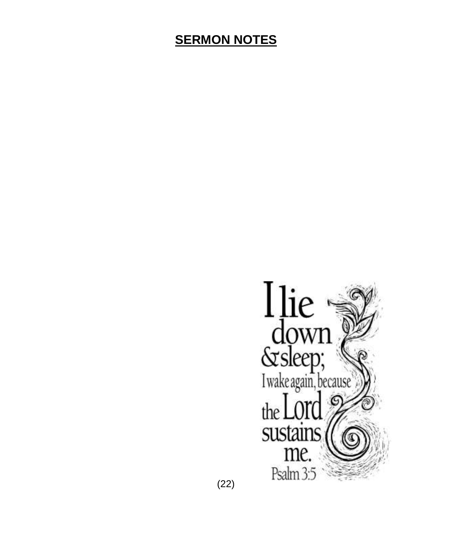# **SERMON NOTES**